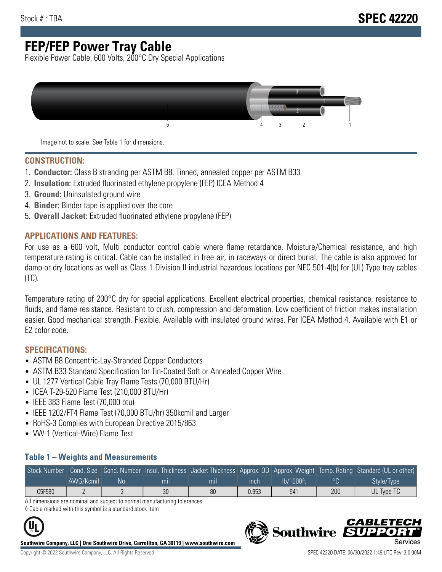## **FEP/FEP Power Tray Cable**

Flexible Power Cable, 600 Volts, 200°C Dry Special Applications



Image not to scale. See Table 1 for dimensions.

#### **CONSTRUCTION:**

- 1. **Conductor:** Class B stranding per ASTM B8. Tinned, annealed copper per ASTM B33
- 2. **Insulation:** Extruded fluorinated ethylene propylene (FEP) ICEA Method 4
- 3. **Ground:** Uninsulated ground wire
- 4. **Binder:** Binder tape is applied over the core
- 5. **Overall Jacket:** Extruded fluorinated ethylene propylene (FEP)

#### **APPLICATIONS AND FEATURES:**

For use as a 600 volt, Multi conductor control cable where flame retardance, Moisture/Chemical resistance, and high temperature rating is critical. Cable can be installed in free air, in raceways or direct burial. The cable is also approved for damp or dry locations as well as Class 1 Division II industrial hazardous locations per NEC 501-4(b) for (UL) Type tray cables (TC).

Temperature rating of 200°C dry for special applications. Excellent electrical properties, chemical resistance, resistance to fluids, and flame resistance. Resistant to crush, compression and deformation. Low coefficient of friction makes installation easier. Good mechanical strength. Flexible. Available with insulated ground wires. Per ICEA Method 4. Available with E1 or E2 color code.

### **SPECIFICATIONS:**

- ASTM B8 Concentric-Lay-Stranded Copper Conductors
- ASTM B33 Standard Specification for Tin-Coated Soft or Annealed Copper Wire
- UL 1277 Vertical Cable Tray Flame Tests (70,000 BTU/Hr)
- ICEA T-29-520 Flame Test (210,000 BTU/Hr)
- IEEE 383 Flame Test (70,000 btu)
- IEEE 1202/FT4 Flame Test (70,000 BTU/hr) 350kcmil and Larger
- RoHS-3 Complies with European Directive 2015/863
- VW-1 (Vertical-Wire) Flame Test

#### **Table 1 – Weights and Measurements**

| Stock Number |           |     |                |                |       |           |     | Gond. Size Cond. Number Insul. Thickness Jacket Thickness Approx. OD Approx. Weight Temp. Rating Standard (UL or other) |
|--------------|-----------|-----|----------------|----------------|-------|-----------|-----|-------------------------------------------------------------------------------------------------------------------------|
|              | AWG/Kcmil | No. | m <sub>l</sub> | m <sub>l</sub> | ınch  | lb/1000ft |     | Style/Type                                                                                                              |
| C5F580       |           |     | 30             | 80             | 0.953 | 941       | 200 | UL Type TC                                                                                                              |

All dimensions are nominal and subject to normal manufacturing tolerances ◊ Cable marked with this symbol is a standard stock item



**Southwire Company, LLC | One Southwire Drive, Carrollton, GA 30119 | www.southwire.com**